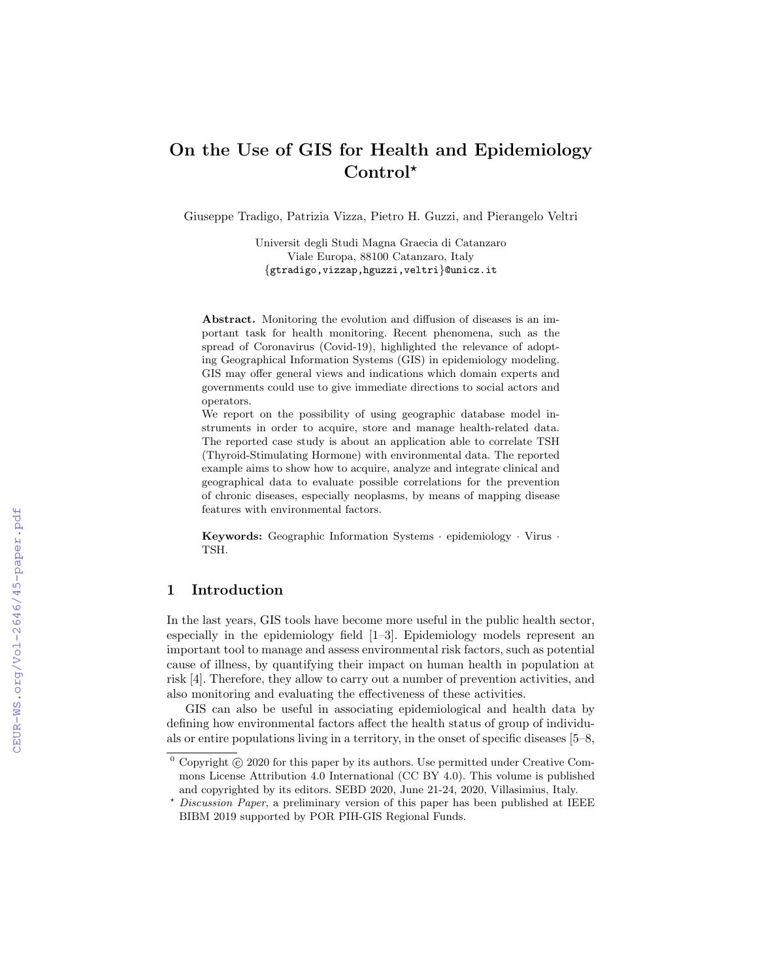# On the Use of GIS for Health and Epidemiology Control\*

Giuseppe Tradigo, Patrizia Vizza, Pietro H. Guzzi, and Pierangelo Veltri

Universit degli Studi Magna Graecia di Catanzaro Viale Europa, 88100 Catanzaro, Italy {gtradigo,vizzap,hguzzi,veltri}@unicz.it

Abstract. Monitoring the evolution and diffusion of diseases is an important task for health monitoring. Recent phenomena, such as the spread of Coronavirus (Covid-19), highlighted the relevance of adopting Geographical Information Systems (GIS) in epidemiology modeling. GIS may offer general views and indications which domain experts and governments could use to give immediate directions to social actors and operators.

We report on the possibility of using geographic database model instruments in order to acquire, store and manage health-related data. The reported case study is about an application able to correlate TSH (Thyroid-Stimulating Hormone) with environmental data. The reported example aims to show how to acquire, analyze and integrate clinical and geographical data to evaluate possible correlations for the prevention of chronic diseases, especially neoplasms, by means of mapping disease features with environmental factors.

Keywords: Geographic Information Systems · epidemiology · Virus · TSH.

## 1 Introduction

In the last years, GIS tools have become more useful in the public health sector, especially in the epidemiology field [1–3]. Epidemiology models represent an important tool to manage and assess environmental risk factors, such as potential cause of illness, by quantifying their impact on human health in population at risk [4]. Therefore, they allow to carry out a number of prevention activities, and also monitoring and evaluating the effectiveness of these activities.

GIS can also be useful in associating epidemiological and health data by defining how environmental factors affect the health status of group of individuals or entire populations living in a territory, in the onset of specific diseases [5–8,

 $\degree$  Copyright  $\degree$  2020 for this paper by its authors. Use permitted under Creative Commons License Attribution 4.0 International (CC BY 4.0). This volume is published and copyrighted by its editors. SEBD 2020, June 21-24, 2020, Villasimius, Italy.

<sup>?</sup> Discussion Paper, a preliminary version of this paper has been published at IEEE BIBM 2019 supported by POR PIH-GIS Regional Funds.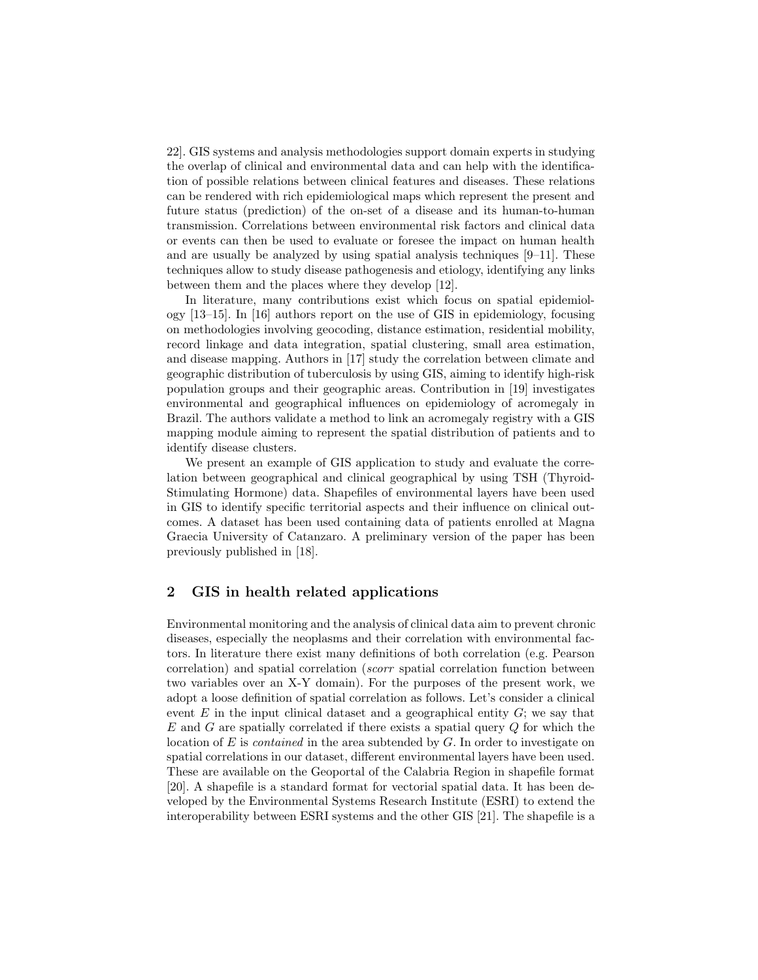22]. GIS systems and analysis methodologies support domain experts in studying the overlap of clinical and environmental data and can help with the identification of possible relations between clinical features and diseases. These relations can be rendered with rich epidemiological maps which represent the present and future status (prediction) of the on-set of a disease and its human-to-human transmission. Correlations between environmental risk factors and clinical data or events can then be used to evaluate or foresee the impact on human health and are usually be analyzed by using spatial analysis techniques  $[9-11]$ . These techniques allow to study disease pathogenesis and etiology, identifying any links between them and the places where they develop [12].

In literature, many contributions exist which focus on spatial epidemiology [13–15]. In [16] authors report on the use of GIS in epidemiology, focusing on methodologies involving geocoding, distance estimation, residential mobility, record linkage and data integration, spatial clustering, small area estimation, and disease mapping. Authors in [17] study the correlation between climate and geographic distribution of tuberculosis by using GIS, aiming to identify high-risk population groups and their geographic areas. Contribution in [19] investigates environmental and geographical influences on epidemiology of acromegaly in Brazil. The authors validate a method to link an acromegaly registry with a GIS mapping module aiming to represent the spatial distribution of patients and to identify disease clusters.

We present an example of GIS application to study and evaluate the correlation between geographical and clinical geographical by using TSH (Thyroid-Stimulating Hormone) data. Shapefiles of environmental layers have been used in GIS to identify specific territorial aspects and their influence on clinical outcomes. A dataset has been used containing data of patients enrolled at Magna Graecia University of Catanzaro. A preliminary version of the paper has been previously published in [18].

## 2 GIS in health related applications

Environmental monitoring and the analysis of clinical data aim to prevent chronic diseases, especially the neoplasms and their correlation with environmental factors. In literature there exist many definitions of both correlation (e.g. Pearson correlation) and spatial correlation (scorr spatial correlation function between two variables over an X-Y domain). For the purposes of the present work, we adopt a loose definition of spatial correlation as follows. Let's consider a clinical event  $E$  in the input clinical dataset and a geographical entity  $G$ ; we say that  $E$  and  $G$  are spatially correlated if there exists a spatial query  $Q$  for which the location of  $E$  is *contained* in the area subtended by  $G$ . In order to investigate on spatial correlations in our dataset, different environmental layers have been used. These are available on the Geoportal of the Calabria Region in shapefile format [20]. A shapefile is a standard format for vectorial spatial data. It has been developed by the Environmental Systems Research Institute (ESRI) to extend the interoperability between ESRI systems and the other GIS [21]. The shapefile is a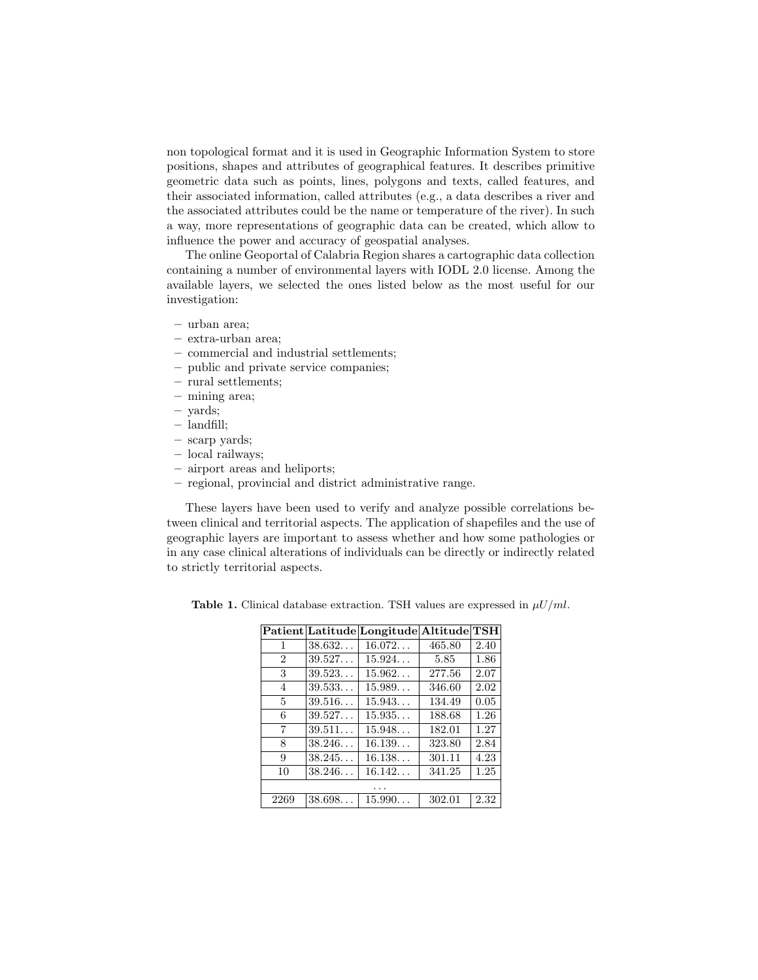non topological format and it is used in Geographic Information System to store positions, shapes and attributes of geographical features. It describes primitive geometric data such as points, lines, polygons and texts, called features, and their associated information, called attributes (e.g., a data describes a river and the associated attributes could be the name or temperature of the river). In such a way, more representations of geographic data can be created, which allow to influence the power and accuracy of geospatial analyses.

The online Geoportal of Calabria Region shares a cartographic data collection containing a number of environmental layers with IODL 2.0 license. Among the available layers, we selected the ones listed below as the most useful for our investigation:

- urban area;
- extra-urban area;
- commercial and industrial settlements;
- public and private service companies;
- rural settlements;
- mining area;
- yards;
- landfill;
- scarp yards;
- local railways;
- airport areas and heliports;
- regional, provincial and district administrative range.

These layers have been used to verify and analyze possible correlations between clinical and territorial aspects. The application of shapefiles and the use of geographic layers are important to assess whether and how some pathologies or in any case clinical alterations of individuals can be directly or indirectly related to strictly territorial aspects.

|                |        | Patient Latitude Longitude Altitude TSH |        |      |
|----------------|--------|-----------------------------------------|--------|------|
| 1              | 38.632 | 16.072                                  | 465.80 | 2.40 |
| $\overline{2}$ | 39.527 | 15.924                                  | 5.85   | 1.86 |
| 3              | 39.523 | 15.962                                  | 277.56 | 2.07 |
| $\overline{4}$ | 39.533 | 15.989                                  | 346.60 | 2.02 |
| 5              | 39.516 | 15.943                                  | 134.49 | 0.05 |
| 6              | 39.527 | 15.935                                  | 188.68 | 1.26 |
| 7              | 39.511 | 15.948                                  | 182.01 | 1.27 |
| 8              | 38.246 | 16.139                                  | 323.80 | 2.84 |
| 9              | 38.245 | 16.138                                  | 301.11 | 4.23 |
| 10             | 38.246 | 16.142                                  | 341.25 | 1.25 |
|                |        |                                         |        |      |
| 2269           | 38.698 | 15.990                                  | 302.01 | 2.32 |

Table 1. Clinical database extraction. TSH values are expressed in  $\mu U/ml$ .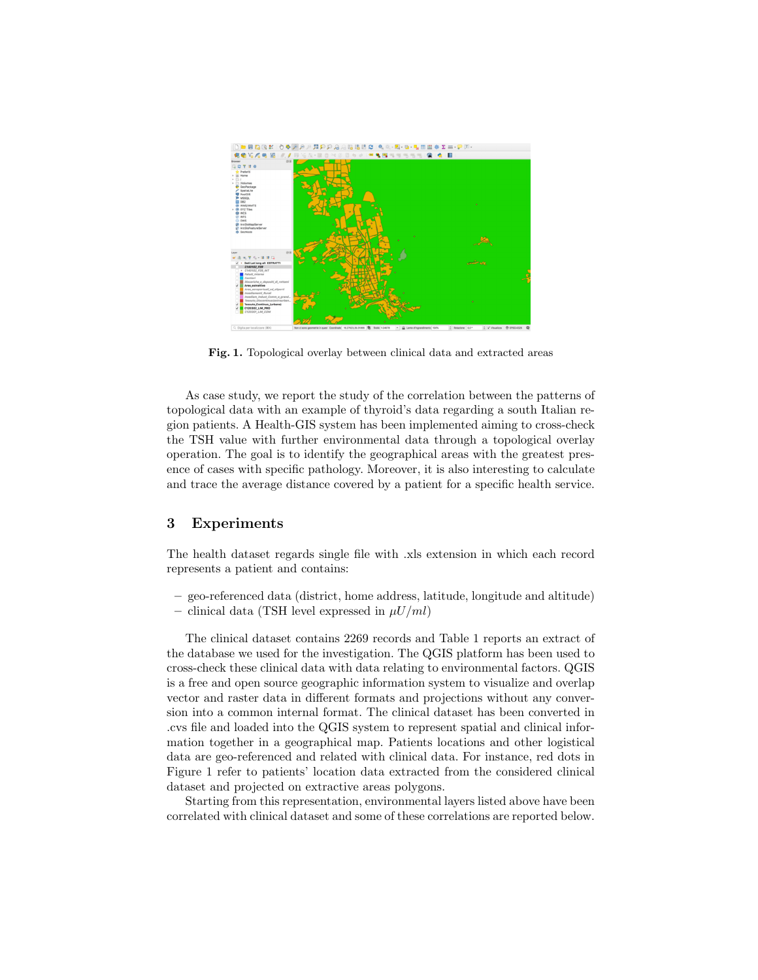

Fig. 1. Topological overlay between clinical data and extracted areas

As case study, we report the study of the correlation between the patterns of topological data with an example of thyroid's data regarding a south Italian region patients. A Health-GIS system has been implemented aiming to cross-check the TSH value with further environmental data through a topological overlay operation. The goal is to identify the geographical areas with the greatest presence of cases with specific pathology. Moreover, it is also interesting to calculate and trace the average distance covered by a patient for a specific health service.

### 3 Experiments

The health dataset regards single file with .xls extension in which each record represents a patient and contains:

- geo-referenced data (district, home address, latitude, longitude and altitude)
- clinical data (TSH level expressed in  $\mu U/ml$ )

The clinical dataset contains 2269 records and Table 1 reports an extract of the database we used for the investigation. The QGIS platform has been used to cross-check these clinical data with data relating to environmental factors. QGIS is a free and open source geographic information system to visualize and overlap vector and raster data in different formats and projections without any conversion into a common internal format. The clinical dataset has been converted in .cvs file and loaded into the QGIS system to represent spatial and clinical information together in a geographical map. Patients locations and other logistical data are geo-referenced and related with clinical data. For instance, red dots in Figure 1 refer to patients' location data extracted from the considered clinical dataset and projected on extractive areas polygons.

Starting from this representation, environmental layers listed above have been correlated with clinical dataset and some of these correlations are reported below.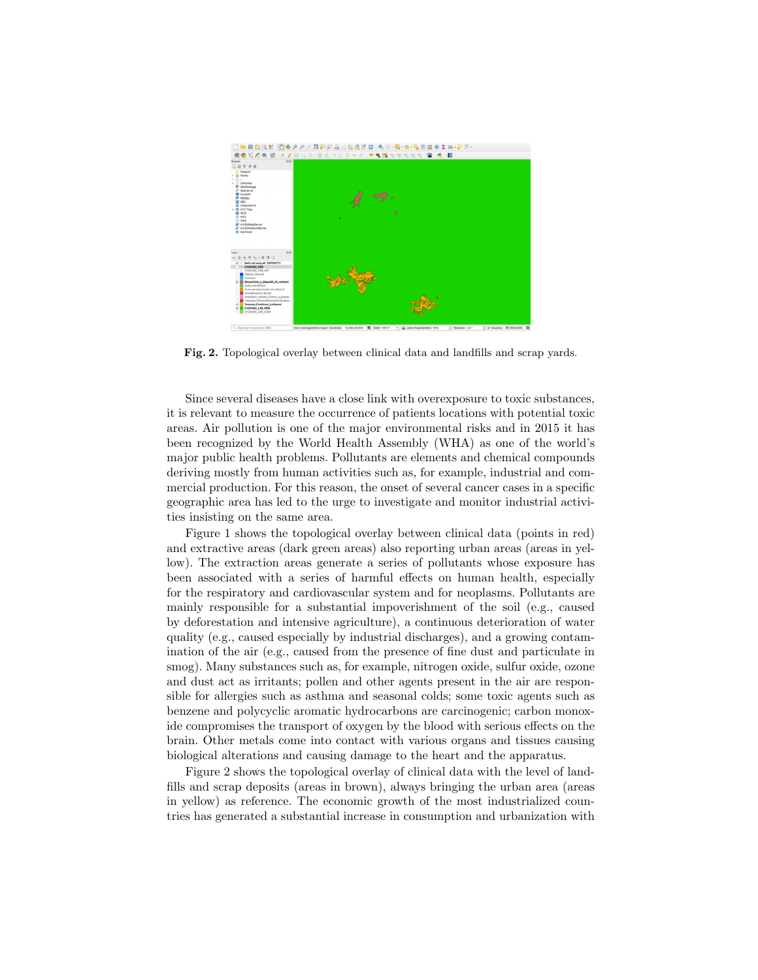

Fig. 2. Topological overlay between clinical data and landfills and scrap yards.

Since several diseases have a close link with overexposure to toxic substances, it is relevant to measure the occurrence of patients locations with potential toxic areas. Air pollution is one of the major environmental risks and in 2015 it has been recognized by the World Health Assembly (WHA) as one of the world's major public health problems. Pollutants are elements and chemical compounds deriving mostly from human activities such as, for example, industrial and commercial production. For this reason, the onset of several cancer cases in a specific geographic area has led to the urge to investigate and monitor industrial activities insisting on the same area.

Figure 1 shows the topological overlay between clinical data (points in red) and extractive areas (dark green areas) also reporting urban areas (areas in yellow). The extraction areas generate a series of pollutants whose exposure has been associated with a series of harmful effects on human health, especially for the respiratory and cardiovascular system and for neoplasms. Pollutants are mainly responsible for a substantial impoverishment of the soil (e.g., caused by deforestation and intensive agriculture), a continuous deterioration of water quality (e.g., caused especially by industrial discharges), and a growing contamination of the air (e.g., caused from the presence of fine dust and particulate in smog). Many substances such as, for example, nitrogen oxide, sulfur oxide, ozone and dust act as irritants; pollen and other agents present in the air are responsible for allergies such as asthma and seasonal colds; some toxic agents such as benzene and polycyclic aromatic hydrocarbons are carcinogenic; carbon monoxide compromises the transport of oxygen by the blood with serious effects on the brain. Other metals come into contact with various organs and tissues causing biological alterations and causing damage to the heart and the apparatus.

Figure 2 shows the topological overlay of clinical data with the level of landfills and scrap deposits (areas in brown), always bringing the urban area (areas in yellow) as reference. The economic growth of the most industrialized countries has generated a substantial increase in consumption and urbanization with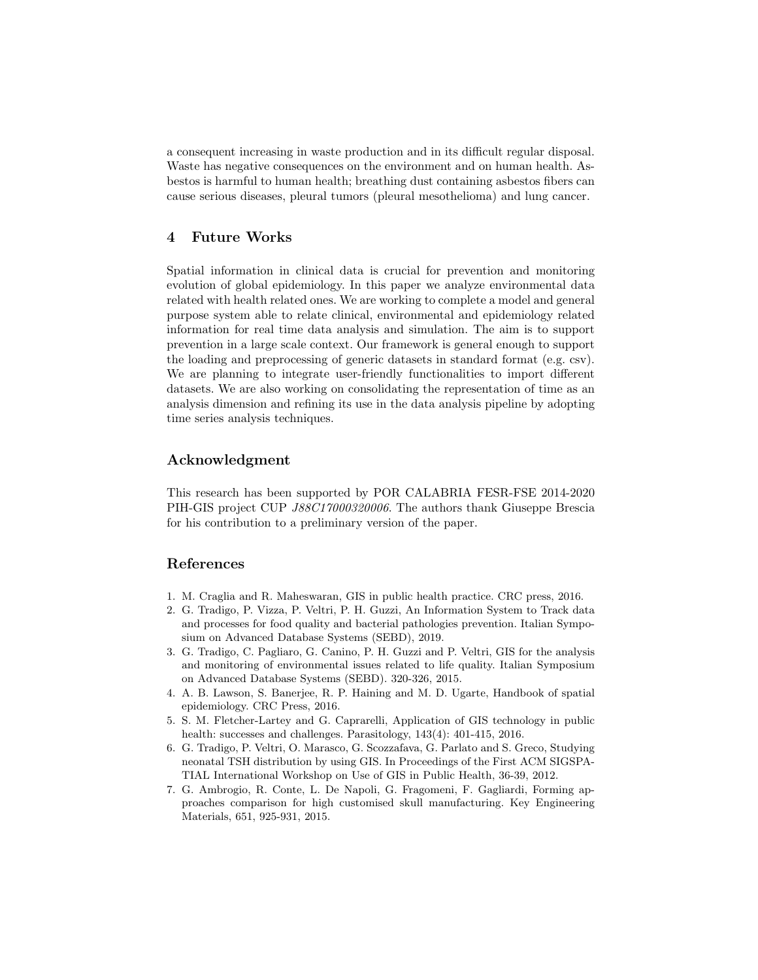a consequent increasing in waste production and in its difficult regular disposal. Waste has negative consequences on the environment and on human health. Asbestos is harmful to human health; breathing dust containing asbestos fibers can cause serious diseases, pleural tumors (pleural mesothelioma) and lung cancer.

# 4 Future Works

Spatial information in clinical data is crucial for prevention and monitoring evolution of global epidemiology. In this paper we analyze environmental data related with health related ones. We are working to complete a model and general purpose system able to relate clinical, environmental and epidemiology related information for real time data analysis and simulation. The aim is to support prevention in a large scale context. Our framework is general enough to support the loading and preprocessing of generic datasets in standard format (e.g. csv). We are planning to integrate user-friendly functionalities to import different datasets. We are also working on consolidating the representation of time as an analysis dimension and refining its use in the data analysis pipeline by adopting time series analysis techniques.

## Acknowledgment

This research has been supported by POR CALABRIA FESR-FSE 2014-2020 PIH-GIS project CUP J88C17000320006. The authors thank Giuseppe Brescia for his contribution to a preliminary version of the paper.

# References

- 1. M. Craglia and R. Maheswaran, GIS in public health practice. CRC press, 2016.
- 2. G. Tradigo, P. Vizza, P. Veltri, P. H. Guzzi, An Information System to Track data and processes for food quality and bacterial pathologies prevention. Italian Symposium on Advanced Database Systems (SEBD), 2019.
- 3. G. Tradigo, C. Pagliaro, G. Canino, P. H. Guzzi and P. Veltri, GIS for the analysis and monitoring of environmental issues related to life quality. Italian Symposium on Advanced Database Systems (SEBD). 320-326, 2015.
- 4. A. B. Lawson, S. Banerjee, R. P. Haining and M. D. Ugarte, Handbook of spatial epidemiology. CRC Press, 2016.
- 5. S. M. Fletcher-Lartey and G. Caprarelli, Application of GIS technology in public health: successes and challenges. Parasitology, 143(4): 401-415, 2016.
- 6. G. Tradigo, P. Veltri, O. Marasco, G. Scozzafava, G. Parlato and S. Greco, Studying neonatal TSH distribution by using GIS. In Proceedings of the First ACM SIGSPA-TIAL International Workshop on Use of GIS in Public Health, 36-39, 2012.
- 7. G. Ambrogio, R. Conte, L. De Napoli, G. Fragomeni, F. Gagliardi, Forming approaches comparison for high customised skull manufacturing. Key Engineering Materials, 651, 925-931, 2015.